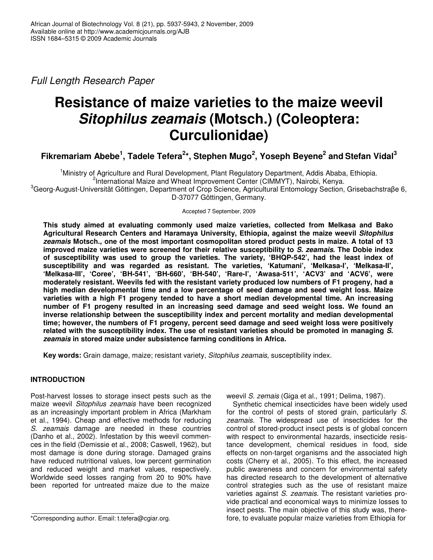*Full Length Research Paper*

# **Resistance of maize varieties to the maize weevil** *Sitophilus zeamais* **(Motsch.) (Coleoptera: Curculionidae)**

Fikremariam Abebe $^1$ , Tadele Tefera $^{2\star}$ , Stephen Mugo $^2$ , Yoseph Beyene $^2$  and Stefan Vidal $^3$ 

<sup>1</sup>Ministry of Agriculture and Rural Development, Plant Regulatory Department, Addis Ababa, Ethiopia. <sup>2</sup>International Maize and Wheat Improvement Center (CIMMYT), Nairobi, Kenya. <sup>3</sup>Georg-August-Universität Göttingen, Department of Crop Science, Agricultural Entomology Section, Grisebachstraβe 6, D*-*37077 Göttingen, Germany.

Accepted 7 September, 2009

**This study aimed at evaluating commonly used maize varieties, collected from Melkasa and Bako Agricultural Research Centers and Haramaya University, Ethiopia, against the maize weevil** *Sitophilus zeamais* **Motsch., one of the most important cosmopolitan stored product pests in maize. A total of 13 improved maize varieties were screened for their relative susceptibility to** *S. zeamais***. The Dobie index of susceptibility was used to group the varieties. The variety, 'BHQP-542', had the least index of susceptibility and was regarded as resistant. The varieties, 'Katumani', 'Melkasa-I', 'Melkasa-II', 'Melkasa-III', 'Coree', 'BH-541', 'BH-660', 'BH-540', 'Rare-I', 'Awasa-511', 'ACV3' and 'ACV6', were moderately resistant. Weevils fed with the resistant variety produced low numbers of F1 progeny, had a high median developmental time and a low percentage of seed damage and seed weight loss. Maize varieties with a high F1 progeny tended to have a short median developmental time. An increasing number of F1 progeny resulted in an increasing seed damage and seed weight loss. We found an inverse relationship between the susceptibility index and percent mortality and median developmental time; however, the numbers of F1 progeny, percent seed damage and seed weight loss were positively related with the susceptibility index. The use of resistant varieties should be promoted in managing** *S. zeamais* **in stored maize under subsistence farming conditions in Africa.**

**Key words:** Grain damage, maize; resistant variety, *Sitophilus zeamais*, susceptibility index.

## **INTRODUCTION**

Post-harvest losses to storage insect pests such as the maize weevil *Sitophilus zeamais* have been recognized as an increasingly important problem in Africa (Markham et al*.*, 1994). Cheap and effective methods for reducing *S. zeamais* damage are needed in these countries (Danho et al*.*, 2002). Infestation by this weevil commences in the field (Demissie et al*.*, 2008; Caswell, 1962), but most damage is done during storage. Damaged grains have reduced nutritional values, low percent germination and reduced weight and market values, respectively. Worldwide seed losses ranging from 20 to 90% have been reported for untreated maize due to the maize

weevil *S. zemais* (Giga et al., 1991; Delima, 1987).

Synthetic chemical insecticides have been widely used for the control of pests of stored grain, particularly *S. zeamais*. The widespread use of insecticides for the control of stored-product insect pests is of global concern with respect to environmental hazards, insecticide resistance development, chemical residues in food, side effects on non-target organisms and the associated high costs (Cherry et al., 2005). To this effect, the increased public awareness and concern for environmental safety has directed research to the development of alternative control strategies such as the use of resistant maize varieties against *S. zeamais*. The resistant varieties provide practical and economical ways to minimize losses to insect pests. The main objective of this study was, therefore, to evaluate popular maize varieties from Ethiopia for

<sup>\*</sup>Corresponding author. Email: t.tefera@cgiar.org.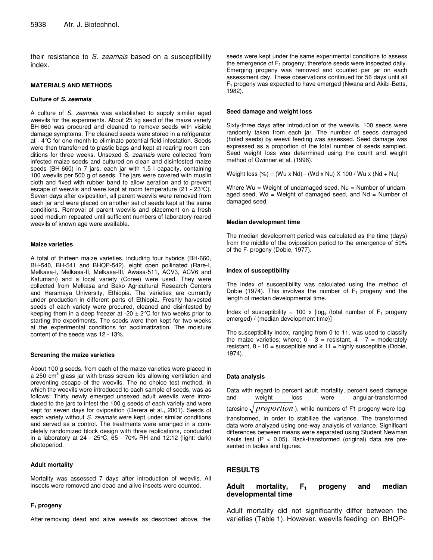their resistance to *S. zeamais* based on a susceptibility index*.*

#### **MATERIALS AND METHODS**

#### **Culture of** *S. zeamais*

A culture of *S. zeamais* was established to supply similar aged weevils for the experiments. About 25 kg seed of the maize variety BH-660 was procured and cleaned to remove seeds with visible damage symptoms. The cleaned seeds were stored in a refrigerator at - 4°C for one month to eliminate potential field infestation. Seeds were then transferred to plastic bags and kept at rearing room conditions for three weeks. Unsexed *S. zeamais* were collected from infested maize seeds and cultured on clean and disinfested maize seeds (BH-660) in 7 jars, each jar with 1.5 l capacity, containing 100 weevils per 500 g of seeds. The jars were covered with muslin cloth and fixed with rubber band to allow aeration and to prevent escape of weevils and were kept at room temperature (21 - 23°C). Seven days after oviposition, all parent weevils were removed from each jar and were placed on another set of seeds kept at the same conditions. Removal of parent weevils and placement on a fresh seed medium repeated until sufficient numbers of laboratory-reared weevils of known age were available.

#### **Maize varieties**

A total of thirteen maize varieties, including four hybrids (BH-660, BH-540, BH-541 and BHQP-542), eight open pollinated (Rare-I, Melkasa-I, Melkasa-II, Melkasa-III, Awasa-511, ACV3, ACV6 and Katumani) and a local variety (Coree) were used. They were collected from Melkasa and Bako Agricultural Research Centers and Haramaya University, Ethiopia. The varieties are currently under production in different parts of Ethiopia. Freshly harvested seeds of each variety were procured, cleaned and disinfested by keeping them in a deep freezer at -20  $\pm$  2°C for two weeks prior to starting the experiments. The seeds were then kept for two weeks at the experimental conditions for acclimatization. The moisture content of the seeds was 12 - 13%.

#### **Screening the maize varieties**

About 100 g seeds, from each of the maize varieties were placed in a 250 cm<sup>3</sup> glass jar with brass screen lids allowing ventilation and preventing escape of the weevils. The no choice test method, in which the weevils were introduced to each sample of seeds, was as follows: Thirty newly emerged unsexed adult weevils were introduced to the jars to infest the 100 g seeds of each variety and were kept for seven days for oviposition (Derera et al., 2001). Seeds of each variety without *S. zeamais* were kept under similar conditions and served as a control. The treatments were arranged in a completely randomized block design with three replications, conducted in a laboratory at 24 - 25°C, 65 - 70% RH and 12:12 (light: dark) photoperiod.

#### **Adult mortality**

Mortality was assessed 7 days after introduction of weevils. All insects were removed and dead and alive insects were counted.

#### **F<sup>1</sup> progeny**

After removing dead and alive weevils as described above, the

seeds were kept under the same experimental conditions to assess the emergence of  $F_1$  progeny; therefore seeds were inspected daily. Emerging progeny was removed and counted per jar on each assessment day. These observations continued for 56 days until all  $F_1$  progeny was expected to have emerged (Nwana and Akibi-Betts, 1982).

#### **Seed damage and weight loss**

Sixty-three days after introduction of the weevils, 100 seeds were randomly taken from each jar. The number of seeds damaged (holed seeds) by weevil feeding was assessed. Seed damage was expressed as a proportion of the total number of seeds sampled. Seed weight loss was determined using the count and weight method of Gwinner et al*.* (1996).

Weight loss  $(\%)$  = (Wu x Nd) - (Wd x Nu) X 100 / Wu x (Nd + Nu)

Where  $Wu = Weight$  of undamaged seed,  $Nu = Number$  of undamaged seed, Wd = Weight of damaged seed, and  $Nd = Number of$ damaged seed.

#### **Median development time**

The median development period was calculated as the time (days) from the middle of the oviposition period to the emergence of 50% of the  $F_1$  progeny (Dobie, 1977).

#### **Index of susceptibility**

The index of susceptibility was calculated using the method of Dobie (1974). This involves the number of  $F_1$  progeny and the length of median developmental time.

Index of susceptibility = 100 x  $[log_e$  (total number of F<sub>1</sub> progeny emerged) / (median development time)]

The susceptibility index, ranging from 0 to 11, was used to classify the maize varieties; where;  $0 - 3 =$  resistant,  $4 - 7 =$  moderately resistant, 8 - 10 = susceptible and  $\geq 11$  = highly susceptible (Dobie, 1974).

#### **Data analysis**

Data with regard to percent adult mortality, percent seed damage and weight loss were angular-transformed (arcsine  $\sqrt{proportion}$  ), while numbers of F1 progeny were logtransformed, in order to stabilize the variance. The transformed data were analyzed using one-way analysis of variance. Significant differences between means were separated using Student Newman Keuls test  $(P < 0.05)$ . Back-transformed (original) data are presented in tables and figures.

#### **RESULTS**

## **Adult mortality, F<sup>1</sup> progeny and median developmental time**

Adult mortality did not significantly differ between the varieties (Table 1). However, weevils feeding on BHQP-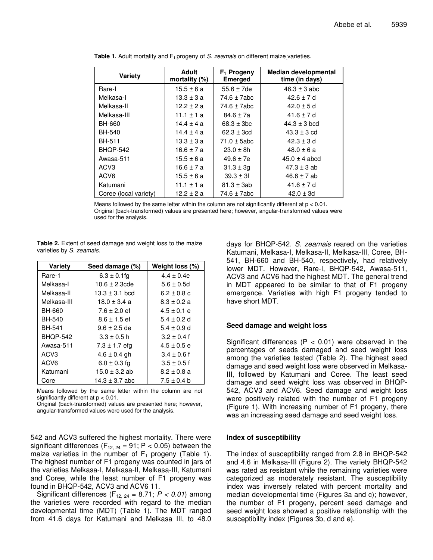| Variety               | Adult<br>mortality $(\%)$ | $F_1$ Progeny<br><b>Emerged</b> | <b>Median developmental</b><br>time (in days) |
|-----------------------|---------------------------|---------------------------------|-----------------------------------------------|
| Rare-I                | $15.5 \pm 6a$             | $55.6 \pm 7$ de                 | $46.3 \pm 3$ abc                              |
| Melkasa-I             | $13.3 \pm 3a$             | $74.6 \pm 7abc$                 | $42.6 \pm 7$ d                                |
| Melkasa-II            | $12.2 \pm 2a$             | 74.6 $\pm$ 7abc                 | $42.0 \pm 5$ d                                |
| Melkasa-III           | 11.1 $\pm$ 1 a            | $84.6 \pm 7a$                   | 41.6 $\pm$ 7 d                                |
| BH-660                | $14.4 \pm 4a$             | $68.3 \pm 3bc$                  | $44.3 \pm 3$ bcd                              |
| BH-540                | $14.4 \pm 4a$             | $62.3 \pm 3cd$                  | $43.3 \pm 3$ cd                               |
| BH-511                | $13.3 \pm 3a$             | $71.0 \pm 5$ abc                | $42.3 \pm 3 d$                                |
| <b>BHQP-542</b>       | 16.6±7a                   | $23.0 \pm 8h$                   | $48.0 \pm 6a$                                 |
| Awasa-511             | $15.5 \pm 6a$             | $49.6 \pm 7e$                   | $45.0 \pm 4$ abcd                             |
| ACV <sub>3</sub>      | 16.6 $\pm$ 7 a            | $31.3 \pm 3g$                   | $47.3 \pm 3$ ab                               |
| ACV <sub>6</sub>      | $15.5 \pm 6a$             | $39.3 \pm 3f$                   | $46.6 \pm 7$ ab                               |
| Katumani              | $11.1 \pm 1a$             | $81.3 \pm 3ab$                  | 41.6 $\pm$ 7 d                                |
| Coree (local variety) | $12.2 \pm 2a$             | 74.6 ± 7abc                     | $42.0 \pm 3d$                                 |

**Table 1.** Adult mortality and F<sub>1</sub> progeny of *S. zeamais* on different maize varieties.

Means followed by the same letter within the column are not significantly different at  $p < 0.01$ . Original (back-transformed) values are presented here; however, angular-transformed values were used for the analysis.

**Table 2.** Extent of seed damage and weight loss to the maize varieties by *S. zeamais.*

| <b>Variety</b>   | Seed damage (%)    | Weight loss (%) |
|------------------|--------------------|-----------------|
| Rare-1           | $6.3 \pm 0.1$ fg   | $4.4 \pm 0.4e$  |
| Melkasa-I        | $10.6 \pm 2.3$ cde | $5.6 \pm 0.5d$  |
| Melkasa-II       | $13.3 \pm 3.1$ bcd | $6.2 \pm 0.8$ c |
| Melkasa-III      | $18.0 \pm 3.4 a$   | $8.3 \pm 0.2 a$ |
| BH-660           | $7.6 \pm 2.0$ ef   | $4.5 \pm 0.1$ e |
| <b>BH-540</b>    | $8.6 \pm 1.5$ ef   | $5.4 \pm 0.2$ d |
| BH-541           | $9.6 \pm 2.5$ de   | $5.4 \pm 0.9$ d |
| <b>BHOP-542</b>  | $3.3 \pm 0.5$ h    | $3.2 \pm 0.4$ f |
| Awasa-511        | $7.3 \pm 1.7$ efg  | $4.5 \pm 0.5 e$ |
| ACV <sub>3</sub> | $4.6 \pm 0.4$ gh   | $3.4 \pm 0.6$ f |
| ACV <sub>6</sub> | $6.0 \pm 0.3$ fg   | $3.5 \pm 0.5$ f |
| Katumani         | $15.0 \pm 3.2$ ab  | $8.2 \pm 0.8$ a |
| Core             | $14.3 \pm 3.7$ abc | $7.5 \pm 0.4$ b |

Means followed by the same letter within the column are not significantly different at  $p < 0.01$ .

Original (back-transformed) values are presented here; however, angular-transformed values were used for the analysis.

542 and ACV3 suffered the highest mortality. There were significant differences ( $F_{12, 24} = 91$ ; P < 0.05) between the maize varieties in the number of  $F_1$  progeny (Table 1). The highest number of F1 progeny was counted in jars of the varieties Melkasa-I, Melkasa-II, Melkasa-III, Katumani and Coree, while the least number of F1 progeny was found in BHQP-542, ACV3 and ACV6 11.

Significant differences  $(F_{12, 24} = 8.71; P < 0.01)$  among the varieties were recorded with regard to the median developmental time (MDT) (Table 1). The MDT ranged from 41.6 days for Katumani and Melkasa III, to 48.0 days for BHQP-542. *S. zeamais* reared on the varieties Katumani, Melkasa-I, Melkasa-II, Melkasa-III, Coree, BH-541, BH-660 and BH-540, respectively, had relatively lower MDT. However, Rare-I, BHQP-542, Awasa-511, ACV3 and ACV6 had the highest MDT. The general trend in MDT appeared to be similar to that of F1 progeny emergence. Varieties with high F1 progeny tended to have short MDT.

#### **Seed damage and weight loss**

Significant differences ( $P < 0.01$ ) were observed in the percentages of seeds damaged and seed weight loss among the varieties tested (Table 2). The highest seed damage and seed weight loss were observed in Melkasa-III, followed by Katumani and Coree. The least seed damage and seed weight loss was observed in BHQP-542, ACV3 and ACV6. Seed damage and weight loss were positively related with the number of F1 progeny (Figure 1). With increasing number of F1 progeny, there was an increasing seed damage and seed weight loss.

#### **Index of susceptibility**

The index of susceptibility ranged from 2.8 in BHQP-542 and 4.6 in Melkasa-III (Figure 2). The variety BHQP-542 was rated as resistant while the remaining varieties were categorized as moderately resistant. The susceptibility index was inversely related with percent mortality and median developmental time (Figures 3a and c); however, the number of F1 progeny, percent seed damage and seed weight loss showed a positive relationship with the susceptibility index (Figures 3b, d and e).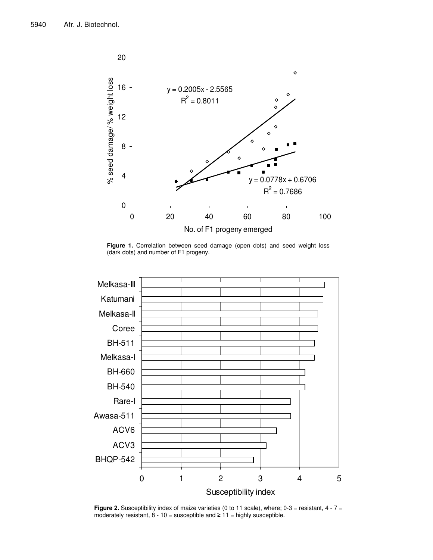

**Figure 1.** Correlation between seed damage (open dots) and seed weight loss (dark dots) and number of F1 progeny.



**Figure 2.** Susceptibility index of maize varieties (0 to 11 scale), where; 0-3 = resistant, 4 - 7 = moderately resistant,  $8 - 10 =$  susceptible and  $\geq 11 =$  highly susceptible.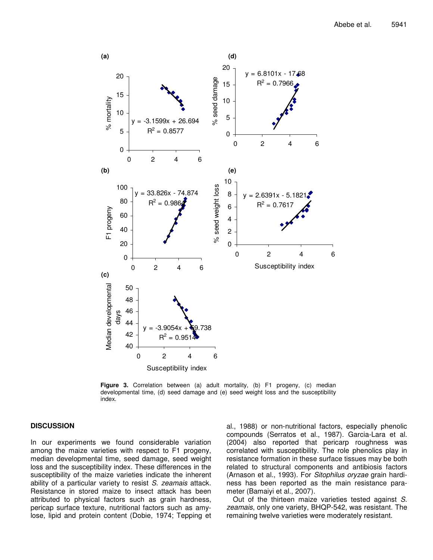

**Figure 3.** Correlation between (a) adult mortality, (b) F1 progeny, (c) median developmental time, (d) seed damage and (e) seed weight loss and the susceptibility index.

## **DISCUSSION**

In our experiments we found considerable variation among the maize varieties with respect to F1 progeny, median developmental time, seed damage, seed weight loss and the susceptibility index. These differences in the susceptibility of the maize varieties indicate the inherent ability of a particular variety to resist *S. zeamais* attack. Resistance in stored maize to insect attack has been attributed to physical factors such as grain hardness, pericap surface texture, nutritional factors such as amylose, lipid and protein content (Dobie, 1974; Tepping et

al., 1988) or non-nutritional factors, especially phenolic compounds (Serratos et al., 1987). Garcia-Lara et al. (2004) also reported that pericarp roughness was correlated with susceptibility. The role phenolics play in resistance formation in these surface tissues may be both related to structural components and antibiosis factors (Arnason et al., 1993). For *Sitophilus oryzae* grain hardiness has been reported as the main resistance parameter (Bamaiyi et al., 2007).

Out of the thirteen maize varieties tested against *S. zeamais*, only one variety, BHQP-542, was resistant. The remaining twelve varieties were moderately resistant.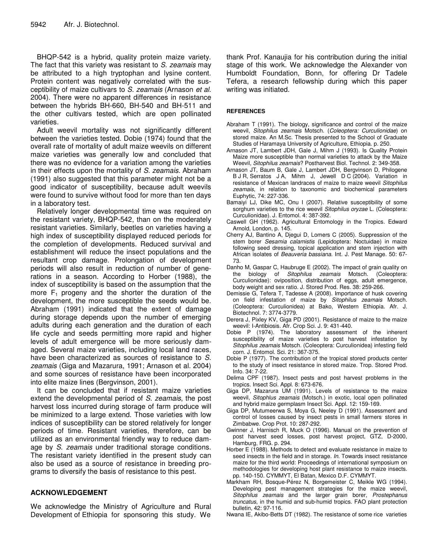BHQP-542 is a hybrid, quality protein maize variety. The fact that this variety was resistant to *S. zeamais* may be attributed to a high tryptophan and lysine content. Protein content was negatively correlated with the susceptibility of maize cultivars to *S. zeamais* (Arnason *et al.* 2004). There were no apparent differences in resistance between the hybrids BH-660, BH-540 and BH-511 and the other cultivars tested, which are open pollinated varieties.

Adult weevil mortality was not significantly different between the varieties tested. Dobie (1974) found that the overall rate of mortality of adult maize weevils on different maize varieties was generally low and concluded that there was no evidence for a variation among the varieties in their effects upon the mortality of *S. zeamais*. Abraham (1991) also suggested that this parameter might not be a good indicator of susceptibility, because adult weevils were found to survive without food for more than ten days in a laboratory test.

Relatively longer developmental time was required on the resistant variety, BHQP-542, than on the moderately resistant varieties. Similarly, beetles on varieties having a high index of susceptibility displayed reduced periods for the completion of developments. Reduced survival and establishment will reduce the insect populations and the resultant crop damage. Prolongation of development periods will also result in reduction of number of generations in a season. According to Horber (1988), the index of susceptibility is based on the assumption that the more  $F_1$  progeny and the shorter the duration of the development, the more susceptible the seeds would be. Abraham (1991) indicated that the extent of damage during storage depends upon the number of emerging adults during each generation and the duration of each life cycle and seeds permitting more rapid and higher levels of adult emergence will be more seriously damaged. Several maize varieties, including local land races, have been characterized as sources of resistance to *S. zeamais* (Giga and Mazarura, 1991; Arnason et al. 2004) and some sources of resistance have been incorporated into elite maize lines (Bergvinson, 2001).

It can be concluded that if resistant maize varieties extend the developmental period of *S. zeamais*, the post harvest loss incurred during storage of farm produce will be minimized to a large extend. Those varieties with low indices of susceptibility can be stored relatively for longer periods of time. Resistant varieties, therefore, can be utilized as an environmental friendly way to reduce damage by *S. zeamais* under traditional storage conditions. The resistant variety identified in the present study can also be used as a source of resistance in breeding programs to diversify the basis of resistance to this pest.

## **ACKNOWLEDGEMENT**

We acknowledge the Ministry of Agriculture and Rural Development of Ethiopia for sponsoring this study. We

thank Prof. Kanaujia for his contribution during the initial stage of this work. We acknowledge the Alexander von Humboldt Foundation, Bonn, for offering Dr Tadele Tefera, a research fellowship during which this paper writing was initiated.

#### **REFERENCES**

- Abraham T (1991). The biology, significance and control of the maize weevil, *Sitophilus zeamais* Motsch. (*Coleoptera: Curculionidae*) on stored maize. An M.Sc. Thesis presented to the School of Graduate Studies of Haramaya University of Agriculture, Ethiopia. p. 250.
- Arnason JT, Lambert JDH, Gale J, Mihm J (1993). Is Quality Protein Maize more susceptible than normal varieties to attack by the Maize Weevil, *Sitophilus zeamais*? Postharvest Biol. Technol. 2: 349-358.
- Arnason JT, Baum B, Gale J, Lambert JDH, Bergvinson D, Philogene B J R, Serratos J A, Mihm J, Jewell D C (2004). Variation in resistance of Mexican landraces of maize to maize weevil *Sitophilus zeamais*, in relation to taxonomic and biochemical parameters Euphytic, 74: 227-336.
- Bamaiyi LJ, Dike MC, Onu I (2007). Relative susceptibility of some sorghum varieties to the rice weevil *Sitophilus oryzae* L. (Coleoptera: Curculionidae). J. Entomol. 4: 387-392.
- Caswell GH (1962). Agricultural Entomology in the Tropics. Edward Arnold, London, p. 145.
- Cherry AJ, Bantino A, Djegui D, Lomers C (2005). Suppression of the stem borer *Sesamia calamistis* (Lepidoptera: Noctuidae) in maize following seed dressing, topical application and stem injection with African isolates of *Beauveria bassiana*. Int. J. Pest Manage. 50: 67- 73.
- Danho M, Gaspar C, Haubruge E (2002). The impact of grain quality on the biology of *Sitophilus zeamais* Motsch. (Coleoptera: Curculionidae): oviposition, distribution of eggs, adult emergence, body weight and sex ratio. J. Stored Prod. Res. 38: 259-266.
- Demissie G, Tefera T, Tadesse A (2008). Importance of husk covering on field infestation of maize by *Sitophilus zeamais* Motsch. (Coleoptera: Curculionidea) at Bako, Western Ethiopia. Afr. J. Biotechnol. 7: 3774-3779.
- Derera J, Pixley KV, Giga PD (2001). Resistance of maize to the maize weevil: I-Antibiosis. Afr. Crop Sci. J. 9: 431-440.
- Dobie P (1974). The laboratory assessment of the inherent susceptibility of maize varieties to post harvest infestation by *Sitophilus zeamais* Motsch. (Coleoptera: Curculionidea) infesting field corn. J. Entomol. Sci. 21: 367-375.
- Dobie P (1977). The contribution of the tropical stored products center to the study of insect resistance in stored maize. Trop. Stored Prod. Info. 34: 7-22.
- Delima CPF (1987). Insect pests and post harvest problems in the tropics. Insect Sci. Appl. 8: 673-676.
- Giga DP, Mazarura UM (1991). Levels of resistance to the maize weevil, *Sitophlus zeamais* (Motsch.) in exotic, local open pollinated and hybrid maize germplasm Insect Sci. Appl. 12: 159-169.
- Giga DP, Mutumeerwa S, Moya G, Neeley D (1991). Assessment and control of losses caused by insect pests in small farmers stores in Zimbabwe. Crop Prot. 10: 287-292.
- Gwinner J, Harnisch R, Muck O (1996). Manual on the prevention of post harvest seed losses, post harvest project, GTZ, D-2000, Hamburg, FRG. p. 294.
- Horber E (1988). Methods to detect and evaluate resistance in maize to seed insects in the field and in storage. *In*. Towards insect resistance maize for the third world: Proceedings of international symposium on methodologies for developing host plant resistance to maize insects. pp. 140-150. CYMMYT, El Batan, Mexico D.F. CYMMYT.
- Markham RH, Bosque-Pérez N, Borgemeister C, Meikle WG (1994). Developing pest management strategies for the maize weevil, *Sitophilus zeamais* and the larger grain borer, *Prostephanus truncatus*, in the humid and sub-humid tropics. FAO plant protection bulletin, 42: 97-116.
- Nwana IE, Akibo-Betts DT (1982). The resistance of some rice varieties